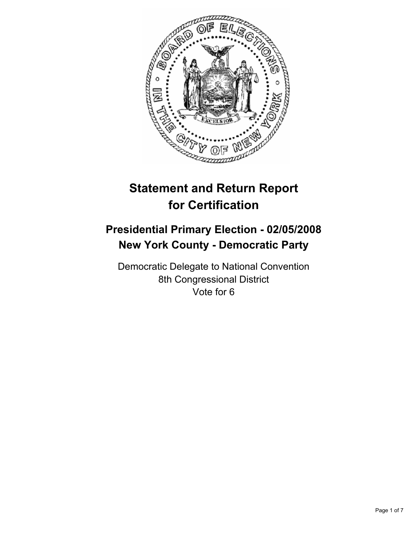

# **Statement and Return Report for Certification**

## **Presidential Primary Election - 02/05/2008 New York County - Democratic Party**

Democratic Delegate to National Convention 8th Congressional District Vote for 6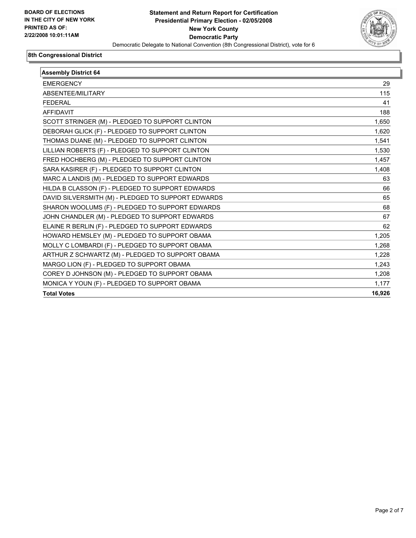

| <b>Assembly District 64</b>                        |        |
|----------------------------------------------------|--------|
| <b>EMERGENCY</b>                                   | 29     |
| ABSENTEE/MILITARY                                  | 115    |
| <b>FEDERAL</b>                                     | 41     |
| <b>AFFIDAVIT</b>                                   | 188    |
| SCOTT STRINGER (M) - PLEDGED TO SUPPORT CLINTON    | 1,650  |
| DEBORAH GLICK (F) - PLEDGED TO SUPPORT CLINTON     | 1,620  |
| THOMAS DUANE (M) - PLEDGED TO SUPPORT CLINTON      | 1,541  |
| LILLIAN ROBERTS (F) - PLEDGED TO SUPPORT CLINTON   | 1,530  |
| FRED HOCHBERG (M) - PLEDGED TO SUPPORT CLINTON     | 1,457  |
| SARA KASIRER (F) - PLEDGED TO SUPPORT CLINTON      | 1,408  |
| MARC A LANDIS (M) - PLEDGED TO SUPPORT EDWARDS     | 63     |
| HILDA B CLASSON (F) - PLEDGED TO SUPPORT EDWARDS   | 66     |
| DAVID SILVERSMITH (M) - PLEDGED TO SUPPORT EDWARDS | 65     |
| SHARON WOOLUMS (F) - PLEDGED TO SUPPORT EDWARDS    | 68     |
| JOHN CHANDLER (M) - PLEDGED TO SUPPORT EDWARDS     | 67     |
| ELAINE R BERLIN (F) - PLEDGED TO SUPPORT EDWARDS   | 62     |
| HOWARD HEMSLEY (M) - PLEDGED TO SUPPORT OBAMA      | 1,205  |
| MOLLY C LOMBARDI (F) - PLEDGED TO SUPPORT OBAMA    | 1,268  |
| ARTHUR Z SCHWARTZ (M) - PLEDGED TO SUPPORT OBAMA   | 1,228  |
| MARGO LION (F) - PLEDGED TO SUPPORT OBAMA          | 1,243  |
| COREY D JOHNSON (M) - PLEDGED TO SUPPORT OBAMA     | 1,208  |
| MONICA Y YOUN (F) - PLEDGED TO SUPPORT OBAMA       | 1,177  |
| <b>Total Votes</b>                                 | 16,926 |
|                                                    |        |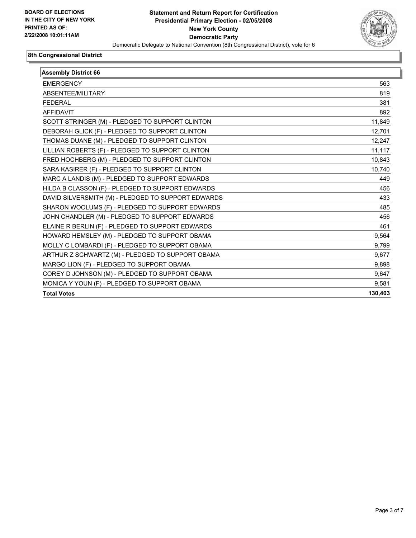

| <b>Assembly District 66</b>                        |         |
|----------------------------------------------------|---------|
| <b>EMERGENCY</b>                                   | 563     |
| ABSENTEE/MILITARY                                  | 819     |
| <b>FEDERAL</b>                                     | 381     |
| <b>AFFIDAVIT</b>                                   | 892     |
| SCOTT STRINGER (M) - PLEDGED TO SUPPORT CLINTON    | 11,849  |
| DEBORAH GLICK (F) - PLEDGED TO SUPPORT CLINTON     | 12,701  |
| THOMAS DUANE (M) - PLEDGED TO SUPPORT CLINTON      | 12.247  |
| LILLIAN ROBERTS (F) - PLEDGED TO SUPPORT CLINTON   | 11,117  |
| FRED HOCHBERG (M) - PLEDGED TO SUPPORT CLINTON     | 10.843  |
| SARA KASIRER (F) - PLEDGED TO SUPPORT CLINTON      | 10,740  |
| MARC A LANDIS (M) - PLEDGED TO SUPPORT EDWARDS     | 449     |
| HILDA B CLASSON (F) - PLEDGED TO SUPPORT EDWARDS   | 456     |
| DAVID SILVERSMITH (M) - PLEDGED TO SUPPORT EDWARDS | 433     |
| SHARON WOOLUMS (F) - PLEDGED TO SUPPORT EDWARDS    | 485     |
| JOHN CHANDLER (M) - PLEDGED TO SUPPORT EDWARDS     | 456     |
| ELAINE R BERLIN (F) - PLEDGED TO SUPPORT EDWARDS   | 461     |
| HOWARD HEMSLEY (M) - PLEDGED TO SUPPORT OBAMA      | 9,564   |
| MOLLY C LOMBARDI (F) - PLEDGED TO SUPPORT OBAMA    | 9,799   |
| ARTHUR Z SCHWARTZ (M) - PLEDGED TO SUPPORT OBAMA   | 9,677   |
| MARGO LION (F) - PLEDGED TO SUPPORT OBAMA          | 9,898   |
| COREY D JOHNSON (M) - PLEDGED TO SUPPORT OBAMA     | 9,647   |
| MONICA Y YOUN (F) - PLEDGED TO SUPPORT OBAMA       | 9.581   |
| <b>Total Votes</b>                                 | 130,403 |
|                                                    |         |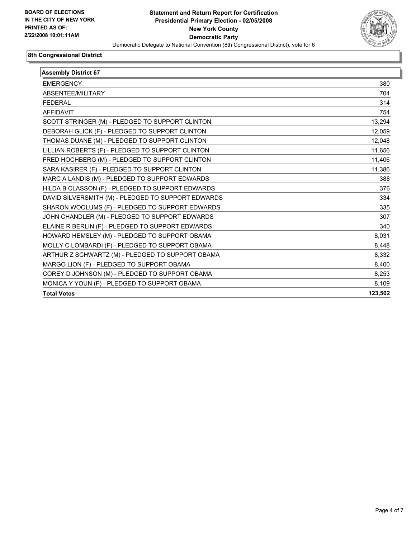

| <b>Assembly District 67</b>                        |         |
|----------------------------------------------------|---------|
| <b>EMERGENCY</b>                                   | 380     |
| ABSENTEE/MILITARY                                  | 704     |
| <b>FEDERAL</b>                                     | 314     |
| <b>AFFIDAVIT</b>                                   | 754     |
| SCOTT STRINGER (M) - PLEDGED TO SUPPORT CLINTON    | 13,294  |
| DEBORAH GLICK (F) - PLEDGED TO SUPPORT CLINTON     | 12,059  |
| THOMAS DUANE (M) - PLEDGED TO SUPPORT CLINTON      | 12,048  |
| LILLIAN ROBERTS (F) - PLEDGED TO SUPPORT CLINTON   | 11,656  |
| FRED HOCHBERG (M) - PLEDGED TO SUPPORT CLINTON     | 11,406  |
| SARA KASIRER (F) - PLEDGED TO SUPPORT CLINTON      | 11,386  |
| MARC A LANDIS (M) - PLEDGED TO SUPPORT EDWARDS     | 388     |
| HILDA B CLASSON (F) - PLEDGED TO SUPPORT EDWARDS   | 376     |
| DAVID SILVERSMITH (M) - PLEDGED TO SUPPORT EDWARDS | 334     |
| SHARON WOOLUMS (F) - PLEDGED TO SUPPORT EDWARDS    | 335     |
| JOHN CHANDLER (M) - PLEDGED TO SUPPORT EDWARDS     | 307     |
| ELAINE R BERLIN (F) - PLEDGED TO SUPPORT EDWARDS   | 340     |
| HOWARD HEMSLEY (M) - PLEDGED TO SUPPORT OBAMA      | 8,031   |
| MOLLY C LOMBARDI (F) - PLEDGED TO SUPPORT OBAMA    | 8,448   |
| ARTHUR Z SCHWARTZ (M) - PLEDGED TO SUPPORT OBAMA   | 8,332   |
| MARGO LION (F) - PLEDGED TO SUPPORT OBAMA          | 8,400   |
| COREY D JOHNSON (M) - PLEDGED TO SUPPORT OBAMA     | 8,253   |
| MONICA Y YOUN (F) - PLEDGED TO SUPPORT OBAMA       | 8,109   |
| <b>Total Votes</b>                                 | 123,502 |
|                                                    |         |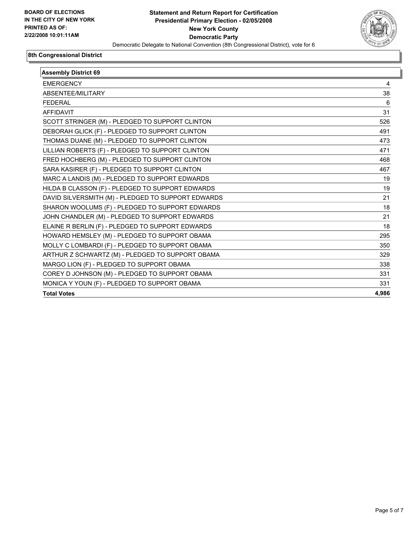

| <b>Assembly District 69</b>                        |       |
|----------------------------------------------------|-------|
| <b>EMERGENCY</b>                                   | 4     |
| ABSENTEE/MILITARY                                  | 38    |
| <b>FEDERAL</b>                                     | 6     |
| <b>AFFIDAVIT</b>                                   | 31    |
| SCOTT STRINGER (M) - PLEDGED TO SUPPORT CLINTON    | 526   |
| DEBORAH GLICK (F) - PLEDGED TO SUPPORT CLINTON     | 491   |
| THOMAS DUANE (M) - PLEDGED TO SUPPORT CLINTON      | 473   |
| LILLIAN ROBERTS (F) - PLEDGED TO SUPPORT CLINTON   | 471   |
| FRED HOCHBERG (M) - PLEDGED TO SUPPORT CLINTON     | 468   |
| SARA KASIRER (F) - PLEDGED TO SUPPORT CLINTON      | 467   |
| MARC A LANDIS (M) - PLEDGED TO SUPPORT EDWARDS     | 19    |
| HILDA B CLASSON (F) - PLEDGED TO SUPPORT EDWARDS   | 19    |
| DAVID SILVERSMITH (M) - PLEDGED TO SUPPORT EDWARDS | 21    |
| SHARON WOOLUMS (F) - PLEDGED TO SUPPORT EDWARDS    | 18    |
| JOHN CHANDLER (M) - PLEDGED TO SUPPORT EDWARDS     | 21    |
| ELAINE R BERLIN (F) - PLEDGED TO SUPPORT EDWARDS   | 18    |
| HOWARD HEMSLEY (M) - PLEDGED TO SUPPORT OBAMA      | 295   |
| MOLLY C LOMBARDI (F) - PLEDGED TO SUPPORT OBAMA    | 350   |
| ARTHUR Z SCHWARTZ (M) - PLEDGED TO SUPPORT OBAMA   | 329   |
| MARGO LION (F) - PLEDGED TO SUPPORT OBAMA          | 338   |
| COREY D JOHNSON (M) - PLEDGED TO SUPPORT OBAMA     | 331   |
| MONICA Y YOUN (F) - PLEDGED TO SUPPORT OBAMA       | 331   |
| <b>Total Votes</b>                                 | 4,986 |
|                                                    |       |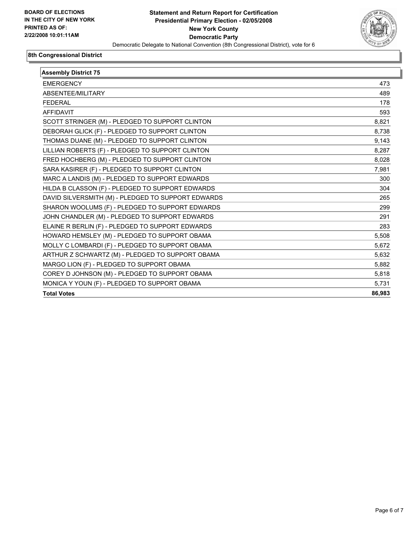

| <b>Assembly District 75</b>                        |        |
|----------------------------------------------------|--------|
| <b>EMERGENCY</b>                                   | 473    |
| ABSENTEE/MILITARY                                  | 489    |
| <b>FEDERAL</b>                                     | 178    |
| <b>AFFIDAVIT</b>                                   | 593    |
| SCOTT STRINGER (M) - PLEDGED TO SUPPORT CLINTON    | 8,821  |
| DEBORAH GLICK (F) - PLEDGED TO SUPPORT CLINTON     | 8,738  |
| THOMAS DUANE (M) - PLEDGED TO SUPPORT CLINTON      | 9,143  |
| LILLIAN ROBERTS (F) - PLEDGED TO SUPPORT CLINTON   | 8,287  |
| FRED HOCHBERG (M) - PLEDGED TO SUPPORT CLINTON     | 8,028  |
| SARA KASIRER (F) - PLEDGED TO SUPPORT CLINTON      | 7,981  |
| MARC A LANDIS (M) - PLEDGED TO SUPPORT EDWARDS     | 300    |
| HILDA B CLASSON (F) - PLEDGED TO SUPPORT EDWARDS   | 304    |
| DAVID SILVERSMITH (M) - PLEDGED TO SUPPORT EDWARDS | 265    |
| SHARON WOOLUMS (F) - PLEDGED TO SUPPORT EDWARDS    | 299    |
| JOHN CHANDLER (M) - PLEDGED TO SUPPORT EDWARDS     | 291    |
| ELAINE R BERLIN (F) - PLEDGED TO SUPPORT EDWARDS   | 283    |
| HOWARD HEMSLEY (M) - PLEDGED TO SUPPORT OBAMA      | 5,508  |
| MOLLY C LOMBARDI (F) - PLEDGED TO SUPPORT OBAMA    | 5,672  |
| ARTHUR Z SCHWARTZ (M) - PLEDGED TO SUPPORT OBAMA   | 5,632  |
| MARGO LION (F) - PLEDGED TO SUPPORT OBAMA          | 5,882  |
| COREY D JOHNSON (M) - PLEDGED TO SUPPORT OBAMA     | 5,818  |
| MONICA Y YOUN (F) - PLEDGED TO SUPPORT OBAMA       | 5.731  |
| <b>Total Votes</b>                                 | 86,983 |
|                                                    |        |